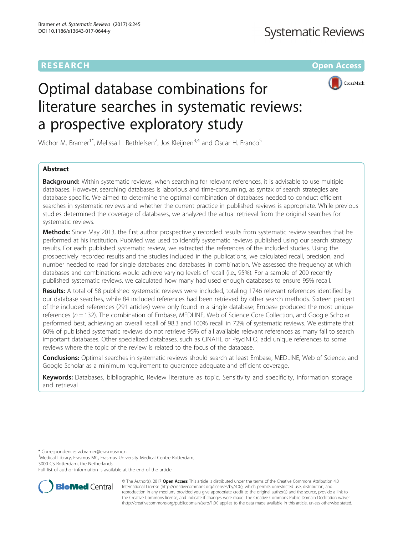# RESEARCH **RESEARCH CONSUMING THE CONSUMING THE CONSUMING TENS**



# Optimal database combinations for literature searches in systematic reviews: a prospective exploratory study

Wichor M. Bramer<sup>1\*</sup>, Melissa L. Rethlefsen<sup>2</sup>, Jos Kleijnen<sup>3,4</sup> and Oscar H. Franco<sup>5</sup>

# Abstract

**Background:** Within systematic reviews, when searching for relevant references, it is advisable to use multiple databases. However, searching databases is laborious and time-consuming, as syntax of search strategies are database specific. We aimed to determine the optimal combination of databases needed to conduct efficient searches in systematic reviews and whether the current practice in published reviews is appropriate. While previous studies determined the coverage of databases, we analyzed the actual retrieval from the original searches for systematic reviews.

Methods: Since May 2013, the first author prospectively recorded results from systematic review searches that he performed at his institution. PubMed was used to identify systematic reviews published using our search strategy results. For each published systematic review, we extracted the references of the included studies. Using the prospectively recorded results and the studies included in the publications, we calculated recall, precision, and number needed to read for single databases and databases in combination. We assessed the frequency at which databases and combinations would achieve varying levels of recall (i.e., 95%). For a sample of 200 recently published systematic reviews, we calculated how many had used enough databases to ensure 95% recall.

Results: A total of 58 published systematic reviews were included, totaling 1746 relevant references identified by our database searches, while 84 included references had been retrieved by other search methods. Sixteen percent of the included references (291 articles) were only found in a single database; Embase produced the most unique references (n = 132). The combination of Embase, MEDLINE, Web of Science Core Collection, and Google Scholar performed best, achieving an overall recall of 98.3 and 100% recall in 72% of systematic reviews. We estimate that 60% of published systematic reviews do not retrieve 95% of all available relevant references as many fail to search important databases. Other specialized databases, such as CINAHL or PsycINFO, add unique references to some reviews where the topic of the review is related to the focus of the database.

Conclusions: Optimal searches in systematic reviews should search at least Embase, MEDLINE, Web of Science, and Google Scholar as a minimum requirement to guarantee adequate and efficient coverage.

Keywords: Databases, bibliographic, Review literature as topic, Sensitivity and specificity, Information storage and retrieval

\* Correspondence: [w.bramer@erasmusmc.nl](mailto:w.bramer@erasmusmc.nl) <sup>1</sup>

<sup>1</sup>Medical Library, Erasmus MC, Erasmus University Medical Centre Rotterdam, 3000 CS Rotterdam, the Netherlands

Full list of author information is available at the end of the article



© The Author(s). 2017 **Open Access** This article is distributed under the terms of the Creative Commons Attribution 4.0 International License [\(http://creativecommons.org/licenses/by/4.0/](http://creativecommons.org/licenses/by/4.0/)), which permits unrestricted use, distribution, and reproduction in any medium, provided you give appropriate credit to the original author(s) and the source, provide a link to the Creative Commons license, and indicate if changes were made. The Creative Commons Public Domain Dedication waiver [\(http://creativecommons.org/publicdomain/zero/1.0/](http://creativecommons.org/publicdomain/zero/1.0/)) applies to the data made available in this article, unless otherwise stated.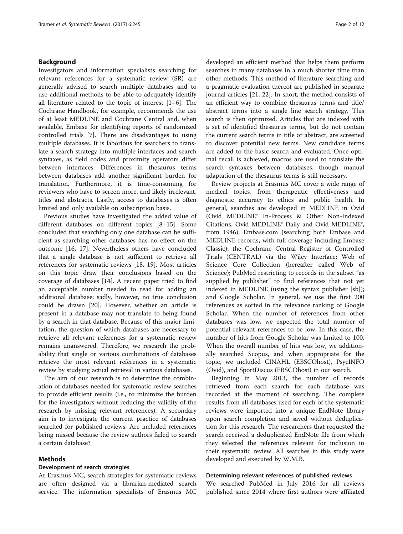# Background

Investigators and information specialists searching for relevant references for a systematic review (SR) are generally advised to search multiple databases and to use additional methods to be able to adequately identify all literature related to the topic of interest [\[1](#page-10-0)–[6\]](#page-10-0). The Cochrane Handbook, for example, recommends the use of at least MEDLINE and Cochrane Central and, when available, Embase for identifying reports of randomized controlled trials [[7\]](#page-10-0). There are disadvantages to using multiple databases. It is laborious for searchers to translate a search strategy into multiple interfaces and search syntaxes, as field codes and proximity operators differ between interfaces. Differences in thesaurus terms between databases add another significant burden for translation. Furthermore, it is time-consuming for reviewers who have to screen more, and likely irrelevant, titles and abstracts. Lastly, access to databases is often limited and only available on subscription basis.

Previous studies have investigated the added value of different databases on different topics [\[8](#page-10-0)–[15\]](#page-10-0). Some concluded that searching only one database can be sufficient as searching other databases has no effect on the outcome [[16](#page-10-0), [17](#page-10-0)]. Nevertheless others have concluded that a single database is not sufficient to retrieve all references for systematic reviews [\[18](#page-10-0), [19](#page-10-0)]. Most articles on this topic draw their conclusions based on the coverage of databases [[14\]](#page-10-0). A recent paper tried to find an acceptable number needed to read for adding an additional database; sadly, however, no true conclusion could be drawn [[20](#page-11-0)]. However, whether an article is present in a database may not translate to being found by a search in that database. Because of this major limitation, the question of which databases are necessary to retrieve all relevant references for a systematic review remains unanswered. Therefore, we research the probability that single or various combinations of databases retrieve the most relevant references in a systematic review by studying actual retrieval in various databases.

The aim of our research is to determine the combination of databases needed for systematic review searches to provide efficient results (i.e., to minimize the burden for the investigators without reducing the validity of the research by missing relevant references). A secondary aim is to investigate the current practice of databases searched for published reviews. Are included references being missed because the review authors failed to search a certain database?

# Methods

#### Development of search strategies

At Erasmus MC, search strategies for systematic reviews are often designed via a librarian-mediated search service. The information specialists of Erasmus MC developed an efficient method that helps them perform searches in many databases in a much shorter time than other methods. This method of literature searching and a pragmatic evaluation thereof are published in separate journal articles [\[21](#page-11-0), [22](#page-11-0)]. In short, the method consists of an efficient way to combine thesaurus terms and title/ abstract terms into a single line search strategy. This search is then optimized. Articles that are indexed with a set of identified thesaurus terms, but do not contain the current search terms in title or abstract, are screened to discover potential new terms. New candidate terms are added to the basic search and evaluated. Once optimal recall is achieved, macros are used to translate the search syntaxes between databases, though manual adaptation of the thesaurus terms is still necessary.

Review projects at Erasmus MC cover a wide range of medical topics, from therapeutic effectiveness and diagnostic accuracy to ethics and public health. In general, searches are developed in MEDLINE in Ovid (Ovid MEDLINE® In-Process & Other Non-Indexed Citations, Ovid MEDLINE® Daily and Ovid MEDLINE®, from 1946); [Embase.com](http://embase.com) (searching both Embase and MEDLINE records, with full coverage including Embase Classic); the Cochrane Central Register of Controlled Trials (CENTRAL) via the Wiley Interface; Web of Science Core Collection (hereafter called Web of Science); PubMed restricting to records in the subset "as supplied by publisher" to find references that not yet indexed in MEDLINE (using the syntax publisher [sb]); and Google Scholar. In general, we use the first 200 references as sorted in the relevance ranking of Google Scholar. When the number of references from other databases was low, we expected the total number of potential relevant references to be low. In this case, the number of hits from Google Scholar was limited to 100. When the overall number of hits was low, we additionally searched Scopus, and when appropriate for the topic, we included CINAHL (EBSCOhost), PsycINFO (Ovid), and SportDiscus (EBSCOhost) in our search.

Beginning in May 2013, the number of records retrieved from each search for each database was recorded at the moment of searching. The complete results from all databases used for each of the systematic reviews were imported into a unique EndNote library upon search completion and saved without deduplication for this research. The researchers that requested the search received a deduplicated EndNote file from which they selected the references relevant for inclusion in their systematic review. All searches in this study were developed and executed by W.M.B.

#### Determining relevant references of published reviews

We searched PubMed in July 2016 for all reviews published since 2014 where first authors were affiliated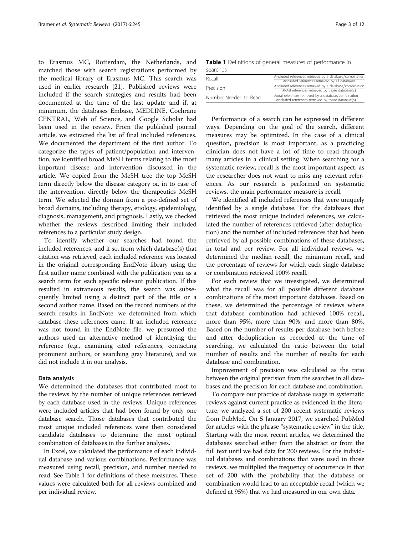to Erasmus MC, Rotterdam, the Netherlands, and matched those with search registrations performed by the medical library of Erasmus MC. This search was used in earlier research [[21\]](#page-11-0). Published reviews were included if the search strategies and results had been documented at the time of the last update and if, at minimum, the databases Embase, MEDLINE, Cochrane CENTRAL, Web of Science, and Google Scholar had been used in the review. From the published journal article, we extracted the list of final included references. We documented the department of the first author. To categorize the types of patient/population and intervention, we identified broad MeSH terms relating to the most important disease and intervention discussed in the article. We copied from the MeSH tree the top MeSH term directly below the disease category or, in to case of the intervention, directly below the therapeutics MeSH term. We selected the domain from a pre-defined set of broad domains, including therapy, etiology, epidemiology, diagnosis, management, and prognosis. Lastly, we checked whether the reviews described limiting their included references to a particular study design.

To identify whether our searches had found the included references, and if so, from which database(s) that citation was retrieved, each included reference was located in the original corresponding EndNote library using the first author name combined with the publication year as a search term for each specific relevant publication. If this resulted in extraneous results, the search was subsequently limited using a distinct part of the title or a second author name. Based on the record numbers of the search results in EndNote, we determined from which database these references came. If an included reference was not found in the EndNote file, we presumed the authors used an alternative method of identifying the reference (e.g., examining cited references, contacting prominent authors, or searching gray literature), and we did not include it in our analysis.

#### Data analysis

We determined the databases that contributed most to the reviews by the number of unique references retrieved by each database used in the reviews. Unique references were included articles that had been found by only one database search. Those databases that contributed the most unique included references were then considered candidate databases to determine the most optimal combination of databases in the further analyses.

In Excel, we calculated the performance of each individual database and various combinations. Performance was measured using recall, precision, and number needed to read. See Table 1 for definitions of these measures. These values were calculated both for all reviews combined and per individual review.

Table 1 Definitions of general measures of performance in searches

| Recall                | #included references retrieved by a database/combination<br>#included references retrieved by all databases<br>#included references retrieved by a database/combination<br>#total references retrieved by those database(s) |  |  |  |  |
|-----------------------|-----------------------------------------------------------------------------------------------------------------------------------------------------------------------------------------------------------------------------|--|--|--|--|
| Precision             |                                                                                                                                                                                                                             |  |  |  |  |
| Number Needed to Read | #total references retrieved by a database/combination<br>#included references retrieved by those database(s)                                                                                                                |  |  |  |  |

Performance of a search can be expressed in different ways. Depending on the goal of the search, different measures may be optimized. In the case of a clinical question, precision is most important, as a practicing clinician does not have a lot of time to read through many articles in a clinical setting. When searching for a systematic review, recall is the most important aspect, as the researcher does not want to miss any relevant references. As our research is performed on systematic reviews, the main performance measure is recall.

We identified all included references that were uniquely identified by a single database. For the databases that retrieved the most unique included references, we calculated the number of references retrieved (after deduplication) and the number of included references that had been retrieved by all possible combinations of these databases, in total and per review. For all individual reviews, we determined the median recall, the minimum recall, and the percentage of reviews for which each single database or combination retrieved 100% recall.

For each review that we investigated, we determined what the recall was for all possible different database combinations of the most important databases. Based on these, we determined the percentage of reviews where that database combination had achieved 100% recall, more than 95%, more than 90%, and more than 80%. Based on the number of results per database both before and after deduplication as recorded at the time of searching, we calculated the ratio between the total number of results and the number of results for each database and combination.

Improvement of precision was calculated as the ratio between the original precision from the searches in all databases and the precision for each database and combination.

To compare our practice of database usage in systematic reviews against current practice as evidenced in the literature, we analyzed a set of 200 recent systematic reviews from PubMed. On 5 January 2017, we searched PubMed for articles with the phrase "systematic review" in the title. Starting with the most recent articles, we determined the databases searched either from the abstract or from the full text until we had data for 200 reviews. For the individual databases and combinations that were used in those reviews, we multiplied the frequency of occurrence in that set of 200 with the probability that the database or combination would lead to an acceptable recall (which we defined at 95%) that we had measured in our own data.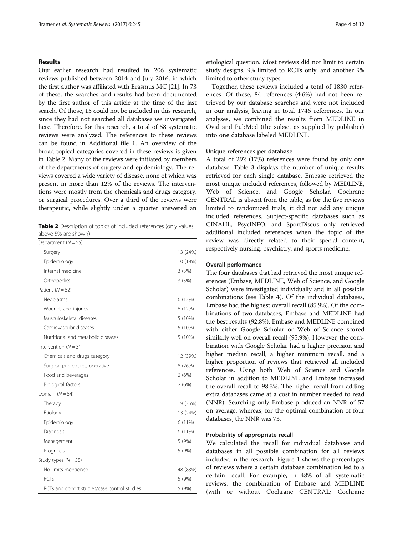# Results

Our earlier research had resulted in 206 systematic reviews published between 2014 and July 2016, in which the first author was affiliated with Erasmus MC [\[21\]](#page-11-0). In 73 of these, the searches and results had been documented by the first author of this article at the time of the last search. Of those, 15 could not be included in this research, since they had not searched all databases we investigated here. Therefore, for this research, a total of 58 systematic reviews were analyzed. The references to these reviews can be found in Additional file [1](#page-10-0). An overview of the broad topical categories covered in these reviews is given in Table 2. Many of the reviews were initiated by members of the departments of surgery and epidemiology. The reviews covered a wide variety of disease, none of which was present in more than 12% of the reviews. The interventions were mostly from the chemicals and drugs category, or surgical procedures. Over a third of the reviews were therapeutic, while slightly under a quarter answered an

Table 2 Description of topics of included references (only values above 5% are shown)

| Department ( $N = 55$ )                      |          |
|----------------------------------------------|----------|
| Surgery                                      | 13 (24%) |
| Epidemiology                                 | 10 (18%) |
| Internal medicine                            | 3(5%)    |
| Orthopedics                                  | 3(5%)    |
| Patient $(N = 52)$                           |          |
| Neoplasms                                    | 6 (12%)  |
| Wounds and injuries                          | 6 (12%)  |
| Musculoskeletal diseases                     | 5(10%)   |
| Cardiovascular diseases                      | 5(10%)   |
| Nutritional and metabolic diseases           | 5(10%)   |
| Intervention $(N = 31)$                      |          |
| Chemicals and drugs category                 | 12 (39%) |
| Surgical procedures, operative               | 8 (26%)  |
| Food and beverages                           | 2(6%)    |
| <b>Biological factors</b>                    | 2(6%)    |
| Domain $(N = 54)$                            |          |
| Therapy                                      | 19 (35%) |
| Etiology                                     | 13 (24%) |
| Epidemiology                                 | 6 (11%)  |
| Diagnosis                                    | 6 (11%)  |
| Management                                   | 5(9%)    |
| Prognosis                                    | 5 (9%)   |
| Study types $(N = 58)$                       |          |
| No limits mentioned                          | 48 (83%) |
| <b>RCTs</b>                                  | 5 (9%)   |
| RCTs and cohort studies/case control studies | 5 (9%)   |

etiological question. Most reviews did not limit to certain study designs, 9% limited to RCTs only, and another 9% limited to other study types.

Together, these reviews included a total of 1830 references. Of these, 84 references (4.6%) had not been retrieved by our database searches and were not included in our analysis, leaving in total 1746 references. In our analyses, we combined the results from MEDLINE in Ovid and PubMed (the subset as supplied by publisher) into one database labeled MEDLINE.

#### Unique references per database

A total of 292 (17%) references were found by only one database. Table [3](#page-4-0) displays the number of unique results retrieved for each single database. Embase retrieved the most unique included references, followed by MEDLINE, Web of Science, and Google Scholar. Cochrane CENTRAL is absent from the table, as for the five reviews limited to randomized trials, it did not add any unique included references. Subject-specific databases such as CINAHL, PsycINFO, and SportDiscus only retrieved additional included references when the topic of the review was directly related to their special content, respectively nursing, psychiatry, and sports medicine.

## Overall performance

The four databases that had retrieved the most unique references (Embase, MEDLINE, Web of Science, and Google Scholar) were investigated individually and in all possible combinations (see Table [4](#page-4-0)). Of the individual databases, Embase had the highest overall recall (85.9%). Of the combinations of two databases, Embase and MEDLINE had the best results (92.8%). Embase and MEDLINE combined with either Google Scholar or Web of Science scored similarly well on overall recall (95.9%). However, the combination with Google Scholar had a higher precision and higher median recall, a higher minimum recall, and a higher proportion of reviews that retrieved all included references. Using both Web of Science and Google Scholar in addition to MEDLINE and Embase increased the overall recall to 98.3%. The higher recall from adding extra databases came at a cost in number needed to read (NNR). Searching only Embase produced an NNR of 57 on average, whereas, for the optimal combination of four databases, the NNR was 73.

## Probability of appropriate recall

We calculated the recall for individual databases and databases in all possible combination for all reviews included in the research. Figure [1](#page-5-0) shows the percentages of reviews where a certain database combination led to a certain recall. For example, in 48% of all systematic reviews, the combination of Embase and MEDLINE (with or without Cochrane CENTRAL; Cochrane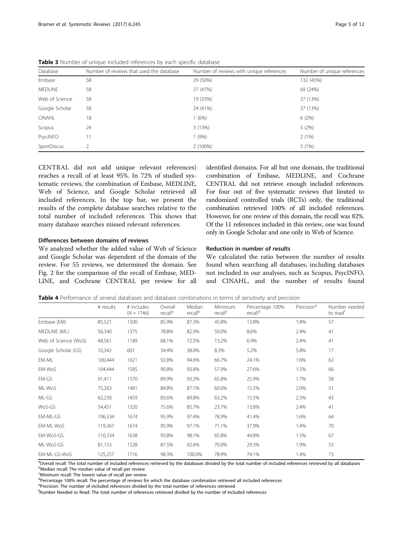| Database       | Number of reviews that used the database | Number of reviews with unique references | Number of unique references |
|----------------|------------------------------------------|------------------------------------------|-----------------------------|
| Embase         | 58                                       | 29 (50%)                                 | 132 (45%)                   |
| <b>MEDLINE</b> | 58                                       | 27 (47%)                                 | 69 (24%)                    |
| Web of Science | 58                                       | 19 (33%)                                 | 37 (13%)                    |
| Google Scholar | 58                                       | 24 (41%)                                 | 37 (13%)                    |
| <b>CINAHL</b>  | 18                                       | 1(6%)                                    | 6(2%)                       |
| Scopus         | 24                                       | 3(13%)                                   | 5(2%)                       |
| PsycINFO       | $\vert$ 1                                | 1(9%)                                    | 2(1%)                       |
| SportDiscus    |                                          | $2(100\%)$                               | 3(1%)                       |

<span id="page-4-0"></span>Table 3 Number of unique included references by each specific database

CENTRAL did not add unique relevant references) reaches a recall of at least 95%. In 72% of studied systematic reviews, the combination of Embase, MEDLINE, Web of Science, and Google Scholar retrieved all included references. In the top bar, we present the results of the complete database searches relative to the total number of included references. This shows that many database searches missed relevant references.

# Differences between domains of reviews

We analyzed whether the added value of Web of Science and Google Scholar was dependent of the domain of the review. For 55 reviews, we determined the domain. See Fig. [2](#page-5-0) for the comparison of the recall of Embase, MED-LINE, and Cochrane CENTRAL per review for all identified domains. For all but one domain, the traditional combination of Embase, MEDLINE, and Cochrane CENTRAL did not retrieve enough included references. For four out of five systematic reviews that limited to randomized controlled trials (RCTs) only, the traditional combination retrieved 100% of all included references. However, for one review of this domain, the recall was 82%. Of the 11 references included in this review, one was found only in Google Scholar and one only in Web of Science.

# Reduction in number of results

We calculated the ratio between the number of results found when searching all databases, including databases not included in our analyses, such as Scopus, PsycINFO, and CINAHL, and the number of results found

**Table 4** Performance of several databases and database combinations in terms of sensitivity and precision

|                      | # results | # includes<br>$(N = 1746)$ | Overall<br>recall <sup>a</sup> | Median<br>recall <sup>b</sup> | Minimum<br>recall <sup>c</sup> | Percentage 100%<br>recall <sup>d</sup> | Precision <sup>e</sup> | Number needed<br>to read <sup>f</sup> |
|----------------------|-----------|----------------------------|--------------------------------|-------------------------------|--------------------------------|----------------------------------------|------------------------|---------------------------------------|
| Embase (EM)          | 85,521    | 1500                       | 85.9%                          | 87.3%                         | 45.8%                          | 13.8%                                  | 1.8%                   | 57                                    |
| MEDLINE (ML)         | 56,340    | 1375                       | 78.8%                          | 82.9%                         | 50.0%                          | 8.6%                                   | 2.4%                   | 41                                    |
| Web of Science (WoS) | 48,561    | 1189                       | 68.1%                          | 72.5%                         | 13.2%                          | 6.9%                                   | 2.4%                   | 41                                    |
| Google Scholar (GS)  | 10,342    | 601                        | 34.4%                          | 38.0%                         | 8.3%                           | 5.2%                                   | 5.8%                   | 17                                    |
| EM-ML                | 100,444   | 1621                       | 92.8%                          | 94.6%                         | 66.7%                          | 24.1%                                  | 1.6%                   | 62                                    |
| EM-WoS               | 104,444   | 1585                       | 90.8%                          | 93.8%                         | 57.9%                          | 27.6%                                  | 1.5%                   | 66                                    |
| EM-GS                | 91,411    | 1570                       | 89.9%                          | 93.3%                         | 65.8%                          | 25.9%                                  | 1.7%                   | 58                                    |
| ML-WoS               | 75,263    | 1481                       | 84.8%                          | 87.1%                         | 60.0%                          | 15.5%                                  | 2.0%                   | 51                                    |
| ML-GS                | 62,230    | 1459                       | 83.6%                          | 89.8%                         | 63.2%                          | 15.5%                                  | 2.3%                   | 43                                    |
| WoS-GS               | 54,451    | 1320                       | 75.6%                          | 85.7%                         | 23.7%                          | 13.8%                                  | 2.4%                   | 41                                    |
| EM-ML-GS             | 106,334   | 1674                       | 95.9%                          | 97.4%                         | 78.9%                          | 41.4%                                  | 1.6%                   | 64                                    |
| EM-ML-WoS            | 119,367   | 1674                       | 95.9%                          | 97.1%                         | 71.1%                          | 37.9%                                  | 1.4%                   | 70                                    |
| EM-WoS-GS            | 110,334   | 1638                       | 93.8%                          | 98.1%                         | 65.8%                          | 44.8%                                  | 1.5%                   | 67                                    |
| ML-WoS-GS            | 81,153    | 1528                       | 87.5%                          | 92.6%                         | 70.0%                          | 29.3%                                  | 1.9%                   | 53                                    |
| EM-ML-GS-WoS         | 125,257   | 1716                       | 98.3%                          | 100.0%                        | 78.9%                          | 74.1%                                  | 1.4%                   | 73                                    |

<sup>a</sup>Overall recall: The total number of included references retrieved by the databases divided by the total number of included references retrieved by all databases<br>PModian recall: The modian value of recall per review. bMedian recall: The median value of recall per review

<sup>c</sup>Minimum recall: The lowest value of recall per review

<sup>d</sup>Percentage 100% recall: The percentage of reviews for which the database combination retrieved all included references

ePrecision: The number of included references divided by the total number of references retrieved

f Number Needed to Read: The total number of references retrieved divided by the number of included references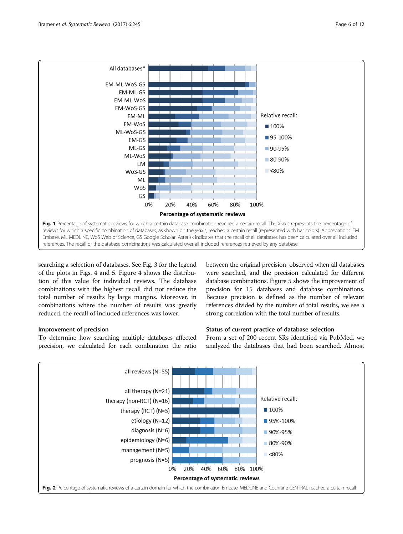<span id="page-5-0"></span>

searching a selection of databases. See Fig. [3](#page-6-0) for the legend of the plots in Figs. [4](#page-6-0) and [5](#page-7-0). Figure [4](#page-6-0) shows the distribution of this value for individual reviews. The database combinations with the highest recall did not reduce the total number of results by large margins. Moreover, in combinations where the number of results was greatly reduced, the recall of included references was lower.

# Improvement of precision

To determine how searching multiple databases affected precision, we calculated for each combination the ratio

between the original precision, observed when all databases were searched, and the precision calculated for different database combinations. Figure [5](#page-7-0) shows the improvement of precision for 15 databases and database combinations. Because precision is defined as the number of relevant references divided by the number of total results, we see a strong correlation with the total number of results.

# Status of current practice of database selection

From a set of 200 recent SRs identified via PubMed, we analyzed the databases that had been searched. Almost

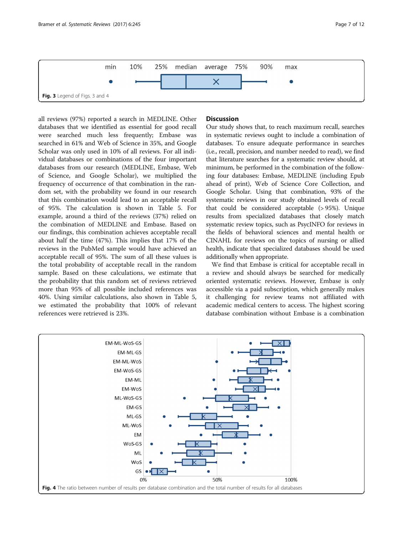<span id="page-6-0"></span>

all reviews (97%) reported a search in MEDLINE. Other databases that we identified as essential for good recall were searched much less frequently; Embase was searched in 61% and Web of Science in 35%, and Google Scholar was only used in 10% of all reviews. For all individual databases or combinations of the four important databases from our research (MEDLINE, Embase, Web of Science, and Google Scholar), we multiplied the frequency of occurrence of that combination in the random set, with the probability we found in our research that this combination would lead to an acceptable recall of 95%. The calculation is shown in Table [5.](#page-7-0) For example, around a third of the reviews (37%) relied on the combination of MEDLINE and Embase. Based on our findings, this combination achieves acceptable recall about half the time (47%). This implies that 17% of the reviews in the PubMed sample would have achieved an acceptable recall of 95%. The sum of all these values is the total probability of acceptable recall in the random sample. Based on these calculations, we estimate that the probability that this random set of reviews retrieved more than 95% of all possible included references was 40%. Using similar calculations, also shown in Table [5](#page-7-0), we estimated the probability that 100% of relevant references were retrieved is 23%.

# **Discussion**

Our study shows that, to reach maximum recall, searches in systematic reviews ought to include a combination of databases. To ensure adequate performance in searches (i.e., recall, precision, and number needed to read), we find that literature searches for a systematic review should, at minimum, be performed in the combination of the following four databases: Embase, MEDLINE (including Epub ahead of print), Web of Science Core Collection, and Google Scholar. Using that combination, 93% of the systematic reviews in our study obtained levels of recall that could be considered acceptable (> 95%). Unique results from specialized databases that closely match systematic review topics, such as PsycINFO for reviews in the fields of behavioral sciences and mental health or CINAHL for reviews on the topics of nursing or allied health, indicate that specialized databases should be used additionally when appropriate.

We find that Embase is critical for acceptable recall in a review and should always be searched for medically oriented systematic reviews. However, Embase is only accessible via a paid subscription, which generally makes it challenging for review teams not affiliated with academic medical centers to access. The highest scoring database combination without Embase is a combination

![](_page_6_Figure_7.jpeg)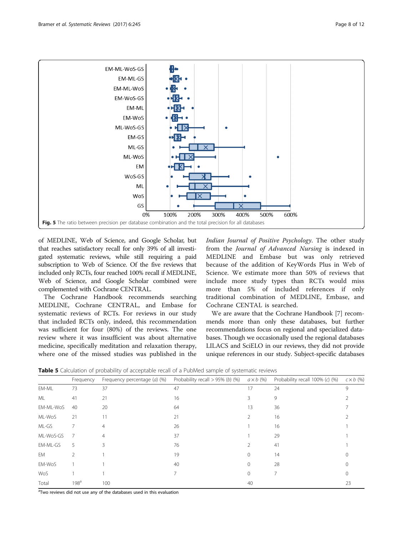<span id="page-7-0"></span>![](_page_7_Figure_2.jpeg)

of MEDLINE, Web of Science, and Google Scholar, but that reaches satisfactory recall for only 39% of all investigated systematic reviews, while still requiring a paid subscription to Web of Science. Of the five reviews that included only RCTs, four reached 100% recall if MEDLINE, Web of Science, and Google Scholar combined were complemented with Cochrane CENTRAL.

The Cochrane Handbook recommends searching MEDLINE, Cochrane CENTRAL, and Embase for systematic reviews of RCTs. For reviews in our study that included RCTs only, indeed, this recommendation was sufficient for four (80%) of the reviews. The one review where it was insufficient was about alternative medicine, specifically meditation and relaxation therapy, where one of the missed studies was published in the Indian Journal of Positive Psychology. The other study from the Journal of Advanced Nursing is indexed in MEDLINE and Embase but was only retrieved because of the addition of KeyWords Plus in Web of Science. We estimate more than 50% of reviews that include more study types than RCTs would miss more than 5% of included references if only traditional combination of MEDLINE, Embase, and Cochrane CENTAL is searched.

We are aware that the Cochrane Handbook [\[7](#page-10-0)] recommends more than only these databases, but further recommendations focus on regional and specialized databases. Though we occasionally used the regional databases LILACS and SciELO in our reviews, they did not provide unique references in our study. Subject-specific databases

**Table 5** Calculation of probability of acceptable recall of a PubMed sample of systematic reviews

|           |                  | $\overline{\phantom{a}}$     | $\overline{\phantom{a}}$            |                  |                                 |                  |
|-----------|------------------|------------------------------|-------------------------------------|------------------|---------------------------------|------------------|
|           | Frequency        | Frequency percentage (a) (%) | Probability recall $> 95\%$ (b) (%) | $a \times b$ (%) | Probability recall 100% (c) (%) | $c \times b$ (%) |
| EM-ML     | 73               | 37                           | 47                                  | 17               | 24                              | 9                |
| ML        | 41               | 21                           | 16                                  | 3                | 9                               |                  |
| EM-ML-WoS | 40               | 20                           | 64                                  | 13               | 36                              |                  |
| ML-WoS    | 21               | 11                           | 21                                  | 2                | 16                              |                  |
| ML-GS     |                  | 4                            | 26                                  |                  | 16                              |                  |
| ML-WoS-GS | 7                | 4                            | 37                                  |                  | 29                              |                  |
| EM-ML-GS  | 5                | 3                            | 76                                  |                  | 41                              |                  |
| EM        | $\mathcal{P}$    |                              | 19                                  | 0                | 14                              |                  |
| EM-WoS    |                  |                              | 40                                  | $\mathbf{0}$     | 28                              |                  |
| WoS       |                  |                              |                                     | $\mathbf{0}$     |                                 |                  |
| Total     | 198 <sup>a</sup> | 100                          |                                     | 40               |                                 | 23               |
|           |                  |                              |                                     |                  |                                 |                  |

<sup>a</sup>Two reviews did not use any of the databases used in this evaluation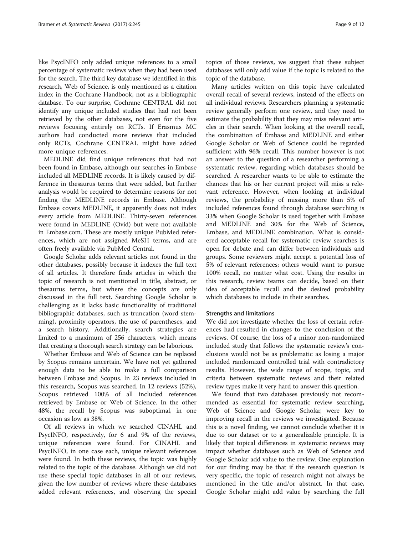like PsycINFO only added unique references to a small percentage of systematic reviews when they had been used for the search. The third key database we identified in this research, Web of Science, is only mentioned as a citation index in the Cochrane Handbook, not as a bibliographic database. To our surprise, Cochrane CENTRAL did not identify any unique included studies that had not been retrieved by the other databases, not even for the five reviews focusing entirely on RCTs. If Erasmus MC authors had conducted more reviews that included only RCTs, Cochrane CENTRAL might have added more unique references.

MEDLINE did find unique references that had not been found in Embase, although our searches in Embase included all MEDLINE records. It is likely caused by difference in thesaurus terms that were added, but further analysis would be required to determine reasons for not finding the MEDLINE records in Embase. Although Embase covers MEDLINE, it apparently does not index every article from MEDLINE. Thirty-seven references were found in MEDLINE (Ovid) but were not available in [Embase.com](http://embase.com). These are mostly unique PubMed references, which are not assigned MeSH terms, and are often freely available via PubMed Central.

Google Scholar adds relevant articles not found in the other databases, possibly because it indexes the full text of all articles. It therefore finds articles in which the topic of research is not mentioned in title, abstract, or thesaurus terms, but where the concepts are only discussed in the full text. Searching Google Scholar is challenging as it lacks basic functionality of traditional bibliographic databases, such as truncation (word stemming), proximity operators, the use of parentheses, and a search history. Additionally, search strategies are limited to a maximum of 256 characters, which means that creating a thorough search strategy can be laborious.

Whether Embase and Web of Science can be replaced by Scopus remains uncertain. We have not yet gathered enough data to be able to make a full comparison between Embase and Scopus. In 23 reviews included in this research, Scopus was searched. In 12 reviews (52%), Scopus retrieved 100% of all included references retrieved by Embase or Web of Science. In the other 48%, the recall by Scopus was suboptimal, in one occasion as low as 38%.

Of all reviews in which we searched CINAHL and PsycINFO, respectively, for 6 and 9% of the reviews, unique references were found. For CINAHL and PsycINFO, in one case each, unique relevant references were found. In both these reviews, the topic was highly related to the topic of the database. Although we did not use these special topic databases in all of our reviews, given the low number of reviews where these databases added relevant references, and observing the special

topics of those reviews, we suggest that these subject databases will only add value if the topic is related to the topic of the database.

Many articles written on this topic have calculated overall recall of several reviews, instead of the effects on all individual reviews. Researchers planning a systematic review generally perform one review, and they need to estimate the probability that they may miss relevant articles in their search. When looking at the overall recall, the combination of Embase and MEDLINE and either Google Scholar or Web of Science could be regarded sufficient with 96% recall. This number however is not an answer to the question of a researcher performing a systematic review, regarding which databases should be searched. A researcher wants to be able to estimate the chances that his or her current project will miss a relevant reference. However, when looking at individual reviews, the probability of missing more than 5% of included references found through database searching is 33% when Google Scholar is used together with Embase and MEDLINE and 30% for the Web of Science, Embase, and MEDLINE combination. What is considered acceptable recall for systematic review searches is open for debate and can differ between individuals and groups. Some reviewers might accept a potential loss of 5% of relevant references; others would want to pursue 100% recall, no matter what cost. Using the results in this research, review teams can decide, based on their idea of acceptable recall and the desired probability which databases to include in their searches.

# Strengths and limitations

We did not investigate whether the loss of certain references had resulted in changes to the conclusion of the reviews. Of course, the loss of a minor non-randomized included study that follows the systematic review's conclusions would not be as problematic as losing a major included randomized controlled trial with contradictory results. However, the wide range of scope, topic, and criteria between systematic reviews and their related review types make it very hard to answer this question.

We found that two databases previously not recommended as essential for systematic review searching, Web of Science and Google Scholar, were key to improving recall in the reviews we investigated. Because this is a novel finding, we cannot conclude whether it is due to our dataset or to a generalizable principle. It is likely that topical differences in systematic reviews may impact whether databases such as Web of Science and Google Scholar add value to the review. One explanation for our finding may be that if the research question is very specific, the topic of research might not always be mentioned in the title and/or abstract. In that case, Google Scholar might add value by searching the full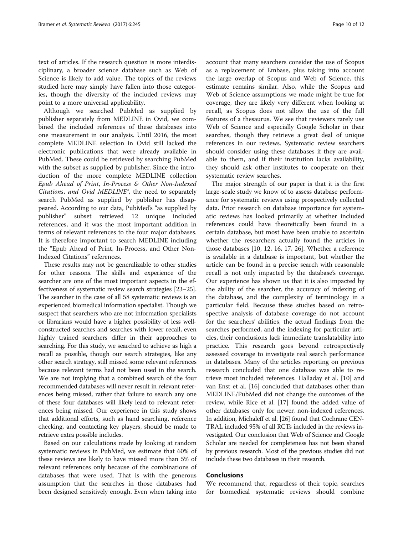text of articles. If the research question is more interdisciplinary, a broader science database such as Web of Science is likely to add value. The topics of the reviews studied here may simply have fallen into those categories, though the diversity of the included reviews may point to a more universal applicability.

Although we searched PubMed as supplied by publisher separately from MEDLINE in Ovid, we combined the included references of these databases into one measurement in our analysis. Until 2016, the most complete MEDLINE selection in Ovid still lacked the electronic publications that were already available in PubMed. These could be retrieved by searching PubMed with the subset as supplied by publisher. Since the introduction of the more complete MEDLINE collection Epub Ahead of Print, In-Process & Other Non-Indexed Citations, and Ovid MEDLINE®, the need to separately search PubMed as supplied by publisher has disappeared. According to our data, PubMed's "as supplied by publisher" subset retrieved 12 unique included references, and it was the most important addition in terms of relevant references to the four major databases. It is therefore important to search MEDLINE including the "Epub Ahead of Print, In-Process, and Other Non-Indexed Citations" references.

These results may not be generalizable to other studies for other reasons. The skills and experience of the searcher are one of the most important aspects in the effectiveness of systematic review search strategies [\[23](#page-11-0)–[25](#page-11-0)]. The searcher in the case of all 58 systematic reviews is an experienced biomedical information specialist. Though we suspect that searchers who are not information specialists or librarians would have a higher possibility of less wellconstructed searches and searches with lower recall, even highly trained searchers differ in their approaches to searching. For this study, we searched to achieve as high a recall as possible, though our search strategies, like any other search strategy, still missed some relevant references because relevant terms had not been used in the search. We are not implying that a combined search of the four recommended databases will never result in relevant references being missed, rather that failure to search any one of these four databases will likely lead to relevant references being missed. Our experience in this study shows that additional efforts, such as hand searching, reference checking, and contacting key players, should be made to retrieve extra possible includes.

Based on our calculations made by looking at random systematic reviews in PubMed, we estimate that 60% of these reviews are likely to have missed more than 5% of relevant references only because of the combinations of databases that were used. That is with the generous assumption that the searches in those databases had been designed sensitively enough. Even when taking into account that many searchers consider the use of Scopus as a replacement of Embase, plus taking into account the large overlap of Scopus and Web of Science, this estimate remains similar. Also, while the Scopus and Web of Science assumptions we made might be true for coverage, they are likely very different when looking at recall, as Scopus does not allow the use of the full features of a thesaurus. We see that reviewers rarely use Web of Science and especially Google Scholar in their searches, though they retrieve a great deal of unique references in our reviews. Systematic review searchers should consider using these databases if they are available to them, and if their institution lacks availability, they should ask other institutes to cooperate on their systematic review searches.

The major strength of our paper is that it is the first large-scale study we know of to assess database performance for systematic reviews using prospectively collected data. Prior research on database importance for systematic reviews has looked primarily at whether included references could have theoretically been found in a certain database, but most have been unable to ascertain whether the researchers actually found the articles in those databases [[10, 12, 16](#page-10-0), [17](#page-10-0), [26](#page-11-0)]. Whether a reference is available in a database is important, but whether the article can be found in a precise search with reasonable recall is not only impacted by the database's coverage. Our experience has shown us that it is also impacted by the ability of the searcher, the accuracy of indexing of the database, and the complexity of terminology in a particular field. Because these studies based on retrospective analysis of database coverage do not account for the searchers' abilities, the actual findings from the searches performed, and the indexing for particular articles, their conclusions lack immediate translatability into practice. This research goes beyond retrospectively assessed coverage to investigate real search performance in databases. Many of the articles reporting on previous research concluded that one database was able to retrieve most included references. Halladay et al. [[10\]](#page-10-0) and van Enst et al. [[16\]](#page-10-0) concluded that databases other than MEDLINE/PubMed did not change the outcomes of the review, while Rice et al. [[17\]](#page-10-0) found the added value of other databases only for newer, non-indexed references. In addition, Michaleff et al. [\[26\]](#page-11-0) found that Cochrane CEN-TRAL included 95% of all RCTs included in the reviews investigated. Our conclusion that Web of Science and Google Scholar are needed for completeness has not been shared by previous research. Most of the previous studies did not include these two databases in their research.

# Conclusions

We recommend that, regardless of their topic, searches for biomedical systematic reviews should combine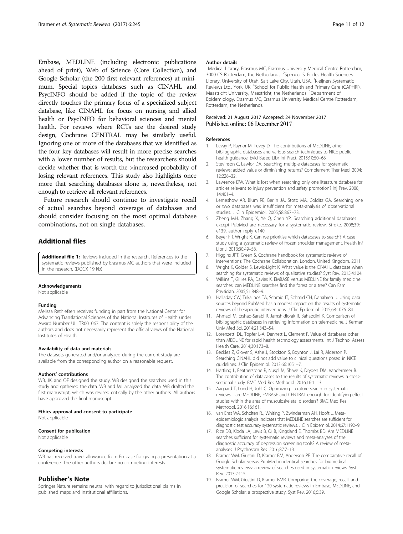<span id="page-10-0"></span>Embase, MEDLINE (including electronic publications ahead of print), Web of Science (Core Collection), and Google Scholar (the 200 first relevant references) at minimum. Special topics databases such as CINAHL and PsycINFO should be added if the topic of the review directly touches the primary focus of a specialized subject database, like CINAHL for focus on nursing and allied health or PsycINFO for behavioral sciences and mental health. For reviews where RCTs are the desired study design, Cochrane CENTRAL may be similarly useful. Ignoring one or more of the databases that we identified as the four key databases will result in more precise searches with a lower number of results, but the researchers should decide whether that is worth the >increased probability of losing relevant references. This study also highlights once more that searching databases alone is, nevertheless, not enough to retrieve all relevant references.

Future research should continue to investigate recall of actual searches beyond coverage of databases and should consider focusing on the most optimal database combinations, not on single databases.

## Additional files

[Additional file 1:](dx.doi.org/10.1186/s13643-017-0644-y) Reviews included in the research. References to the systematic reviews published by Erasmus MC authors that were included in the research. (DOCX 19 kb)

#### Acknowledgements

Not applicable

#### Funding

Melissa Rethlefsen receives funding in part from the National Center for Advancing Translational Sciences of the National Institutes of Health under Award Number UL1TR001067. The content is solely the responsibility of the authors and does not necessarily represent the official views of the National Institutes of Health.

#### Availability of data and materials

The datasets generated and/or analyzed during the current study are available from the corresponding author on a reasonable request.

#### Authors' contributions

WB, JK, and OF designed the study. WB designed the searches used in this study and gathered the data. WB and ML analyzed the data. WB drafted the first manuscript, which was revised critically by the other authors. All authors have approved the final manuscript.

#### Ethics approval and consent to participate

Not applicable

# Consent for publication

Not applicable

#### Competing interests

WB has received travel allowance from Embase for giving a presentation at a conference. The other authors declare no competing interests.

#### Publisher's Note

Springer Nature remains neutral with regard to jurisdictional claims in published maps and institutional affiliations.

#### Author details

<sup>1</sup>Medical Library, Erasmus MC, Erasmus University Medical Centre Rotterdam, 3000 CS Rotterdam, the Netherlands. <sup>2</sup>Spencer S. Eccles Health Sciences Library, University of Utah, Salt Lake City, Utah, USA. <sup>3</sup>Kleijnen Systematic Reviews Ltd., York, UK. <sup>4</sup>School for Public Health and Primary Care (CAPHRI), Maastricht University, Maastricht, the Netherlands. <sup>5</sup>Department of Epidemiology, Erasmus MC, Erasmus University Medical Centre Rotterdam, Rotterdam, the Netherlands.

#### Received: 21 August 2017 Accepted: 24 November 2017 Published online: 06 December 2017

#### References

- 1. Levay P, Raynor M, Tuvey D. The contributions of MEDLINE, other bibliographic databases and various search techniques to NICE public health guidance. Evid Based Libr Inf Pract. 2015;10:50–68.
- 2. Stevinson C, Lawlor DA. Searching multiple databases for systematic reviews: added value or diminishing returns? Complement Ther Med. 2004; 12:228–32.
- 3. Lawrence DW. What is lost when searching only one literature database for articles relevant to injury prevention and safety promotion? Inj Prev. 2008; 14:401–4.
- 4. Lemeshow AR, Blum RE, Berlin JA, Stoto MA, Colditz GA. Searching one or two databases was insufficient for meta-analysis of observational studies. J Clin Epidemiol. 2005;58:867–73.
- 5. Zheng MH, Zhang X, Ye Q, Chen YP. Searching additional databases except PubMed are necessary for a systematic review. Stroke. 2008;39: e139. author reply e140
- 6. Beyer FR, Wright K. Can we prioritise which databases to search? A case study using a systematic review of frozen shoulder management. Health Inf Libr J. 2013;30:49–58.
- 7. Higgins JPT, Green S. Cochrane handbook for systematic reviews of interventions: The Cochrane Collaboration, London, United Kingdom. 2011.
- 8. Wright K, Golder S, Lewis-Light K. What value is the CINAHL database when searching for systematic reviews of qualitative studies? Syst Rev. 2015;4:104.
- 9. Wilkins T, Gillies RA, Davies K. EMBASE versus MEDLINE for family medicine searches: can MEDLINE searches find the forest or a tree? Can Fam Physician. 2005;51:848–9.
- 10. Halladay CW, Trikalinos TA, Schmid IT, Schmid CH, Dahabreh IJ. Using data sources beyond PubMed has a modest impact on the results of systematic reviews of therapeutic interventions. J Clin Epidemiol. 2015;68:1076–84.
- 11. Ahmadi M, Ershad-Sarabi R, Jamshidiorak R, Bahaodini K. Comparison of bibliographic databases in retrieving information on telemedicine. J Kerman Univ Med Sci. 2014;21:343–54.
- 12. Lorenzetti DL, Topfer L-A, Dennett L, Clement F. Value of databases other than MEDLINE for rapid health technology assessments. Int J Technol Assess Health Care. 2014;30:173–8.
- 13. Beckles Z, Glover S, Ashe J, Stockton S, Boynton J, Lai R, Alderson P. Searching CINAHL did not add value to clinical questions posed in NICE guidelines. J Clin Epidemiol. 2013;66:1051–7.
- 14. Hartling L, Featherstone R, Nuspl M, Shave K, Dryden DM, Vandermeer B. The contribution of databases to the results of systematic reviews: a crosssectional study. BMC Med Res Methodol. 2016;16:1–13.
- 15. Aagaard T, Lund H, Juhl C. Optimizing literature search in systematic reviews—are MEDLINE, EMBASE and CENTRAL enough for identifying effect studies within the area of musculoskeletal disorders? BMC Med Res Methodol. 2016;16:161.
- 16. van Enst WA, Scholten RJ, Whiting P, Zwinderman AH, Hooft L. Metaepidemiologic analysis indicates that MEDLINE searches are sufficient for diagnostic test accuracy systematic reviews. J Clin Epidemiol. 2014;67:1192–9.
- 17. Rice DB, Kloda LA, Levis B, Qi B, Kingsland E, Thombs BD. Are MEDLINE searches sufficient for systematic reviews and meta-analyses of the diagnostic accuracy of depression screening tools? A review of metaanalyses. J Psychosom Res. 2016;87:7–13.
- 18. Bramer WM, Giustini D, Kramer BM, Anderson PF. The comparative recall of Google Scholar versus PubMed in identical searches for biomedical systematic reviews: a review of searches used in systematic reviews. Syst Rev. 2013;2:115.
- 19. Bramer WM, Giustini D, Kramer BMR. Comparing the coverage, recall, and precision of searches for 120 systematic reviews in Embase, MEDLINE, and Google Scholar: a prospective study. Syst Rev. 2016;5:39.